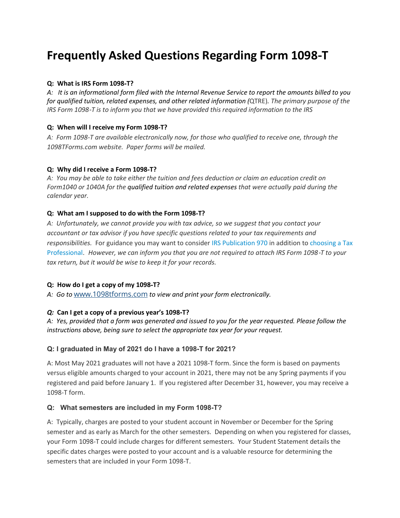# **Frequently Asked Questions Regarding Form 1098**‐**T**

#### **Q: What is IRS Form 1098**‐**T?**

*A: It is an informational form filed with the Internal Revenue Service to report the amounts billed to you for qualified tuition, related expenses, and other related information (*QTRE)*. The primary purpose of the IRS Form 1098*‐*T is to inform you that we have provided this required information to the IRS*

## **Q: When will I receive my Form 1098-T?**

*A: Form 1098-T are available electronically now, for those who qualified to receive one, through the 1098TForms.com website. Paper forms will be mailed.*

#### **Q: Why did I receive a Form 1098**‐**T?**

*A: You may be able to take either the tuition and fees deduction or claim an education credit on Form1040 or 1040A for the qualified tuition and related expenses that were actually paid during the calendar year.*

#### **Q: What am I supposed to do with the Form 1098**‐**T?**

*A: Unfortunately, we cannot provide you with tax advice, so we suggest that you contact your accountant or tax advisor if you have specific questions related to your tax requirements and responsibilities.* For guidance you may want to consider [IRS Publication 970](http://www.irs.gov/pub/irs-pdf/p970.pdf) in addition t[o choosing a Tax](http://www.irs.gov/Tax-Professionals/Choosing-a-Tax-Professional)  [Professional.](http://www.irs.gov/Tax-Professionals/Choosing-a-Tax-Professional) *However, we can inform you that you are not required to attach IRS Form 1098*‐*T to your tax return, but it would be wise to keep it for your records.*

#### **Q: How do I get a copy of my 1098**‐**T?**

*A: Go to* [www.1098tforms.com](http://1098tforms.com/) *to view and print your form electronically.*

## *Q:* **Can I get a copy of a previous year's 1098**‐**T?**

*A: Yes, provided that a form was generated and issued to you for the year requested. Please follow the instructions above, being sure to select the appropriate tax year for your request.* 

## **Q: I graduated in May of 2021 do I have a 1098-T for 2021?**

A: Most May 2021 graduates will not have a 2021 1098-T form. Since the form is based on payments versus eligible amounts charged to your account in 2021, there may not be any Spring payments if you registered and paid before January 1. If you registered after December 31, however, you may receive a 1098-T form.

## **Q: What semesters are included in my Form 1098-T?**

A: Typically, charges are posted to your student account in November or December for the Spring semester and as early as March for the other semesters. Depending on when you registered for classes, your Form 1098-T could include charges for different semesters. Your Student Statement details the specific dates charges were posted to your account and is a valuable resource for determining the semesters that are included in your Form 1098-T.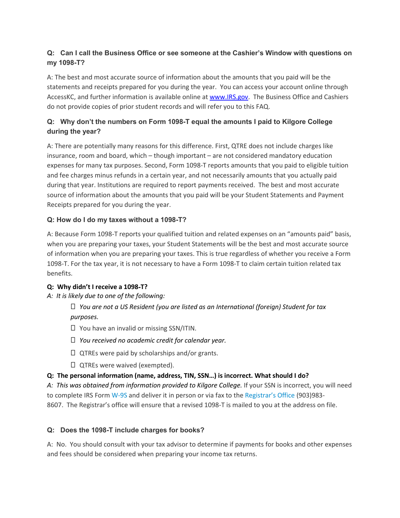# **Q: Can I call the Business Office or see someone at the Cashier's Window with questions on my 1098-T?**

A: The best and most accurate source of information about the amounts that you paid will be the statements and receipts prepared for you during the year. You can access your account online through AccessKC, and further information is available online at [www.IRS.gov.](http://www.irs.gov/) The Business Office and Cashiers do not provide copies of prior student records and will refer you to this FAQ.

# **Q: Why don't the numbers on Form 1098-T equal the amounts I paid to Kilgore College during the year?**

A: There are potentially many reasons for this difference. First, QTRE does not include charges like insurance, room and board, which – though important – are not considered mandatory education expenses for many tax purposes. Second, Form 1098-T reports amounts that you paid to eligible tuition and fee charges minus refunds in a certain year, and not necessarily amounts that you actually paid during that year. Institutions are required to report payments received. The best and most accurate source of information about the amounts that you paid will be your Student Statements and Payment Receipts prepared for you during the year.

## **Q: How do I do my taxes without a 1098-T?**

A: Because Form 1098-T reports your qualified tuition and related expenses on an "amounts paid" basis, when you are preparing your taxes, your Student Statements will be the best and most accurate source of information when you are preparing your taxes. This is true regardless of whether you receive a Form 1098-T. For the tax year, it is not necessary to have a Form 1098-T to claim certain tuition related tax benefits.

## **Q: Why didn't I receive a 1098**‐**T?**

## *A: It is likely due to one of the following:*

 *You are not a US Resident (you are listed as an International (foreign) Student for tax purposes.*

- $\Box$  You have an invalid or missing SSN/ITIN.
- *You received no academic credit for calendar year.*
- $\Box$  QTREs were paid by scholarships and/or grants.
- $\Box$  QTREs were waived (exempted).

# **Q: The personal information (name, address, TIN, SSN…) is incorrect. What should I do?**

*A: This was obtained from information provided to Kilgore College.* If your SSN is incorrect, you will need to complete IRS Form [W-9S](https://www.irs.gov/pub/irs-pdf/fw9s.pdf) and deliver it in person or via fax to the [Registrar's Office](https://www.kilgore.edu/future-students/registration-transcripts) (903)983- 8607. The Registrar's office will ensure that a revised 1098-T is mailed to you at the address on file.

## **Q: Does the 1098-T include charges for books?**

A: No. You should consult with your tax advisor to determine if payments for books and other expenses and fees should be considered when preparing your income tax returns.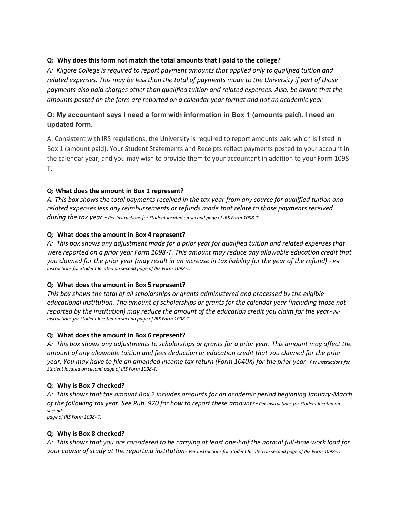## **Q: Why does this form not match the total amounts that I paid to the college?**

*A: Kilgore College is required to report payment amounts that applied only to qualified tuition and related expenses. This may be less than the total of payments made to the University if part of those payments also paid charges other than qualified tuition and related expenses. Also, be aware that the amounts posted on the form are reported on a calendar year format and not an academic year.* 

## **Q: My accountant says I need a form with information in Box 1 (amounts paid). I need an updated form.**

A: Consistent with IRS regulations, the University is required to report amounts paid which is listed in Box 1 (amount paid). Your Student Statements and Receipts reflect payments posted to your account in the calendar year, and you may wish to provide them to your accountant in addition to your Form 1098- T.

#### **Q: What does the amount in Box 1 represent?**

*A: This box shows the total payments received in the tax year from any source for qualified tuition and related expenses less any reimbursements or refunds made that relate to those payments received during the tax year* ‐ *Per Instructions for Student located on second page of IRS Form 1098*‐*T.*

#### **Q: What does the amount in Box 4 represent?**

*A: This box shows any adjustment made for a prior year for qualified tuition and related expenses that were reported on a prior year Form 1098*‐*T. This amount may reduce any allowable education credit that you claimed for the prior year (may result in an increase in tax liability for the year of the refund)* ‐ *Per Instructions for Student located on second page of IRS Form 1098*‐*T.*

#### **Q: What does the amount in Box 5 represent?**

*This box shows the total of all scholarships or grants administered and processed by the eligible educational institution. The amount of scholarships or grants for the calendar year (including those not reported by the institution) may reduce the amount of the education credit you claim for the year*‐ *Per Instructions for Student located on second page of IRS Form 1098*‐*T.*

#### **Q: What does the amount in Box 6 represent?**

*A: This box shows any adjustments to scholarships or grants for a prior year. This amount may affect the amount of any allowable tuition and fees deduction or education credit that you claimed for the prior year. You may have to file an amended income tax return (Form 1040X) for the prior year*‐ *Per Instructions for Student located on second page of IRS Form 1098*‐*T.*

#### **Q: Why is Box 7 checked?**

*A: This shows that the amount Box 2 includes amounts for an academic period beginning January*‐*March of the following tax year. See Pub. 970 for how to report these amounts*‐ *Per Instructions for Student located on second page of IRS Form 1098*‐ *T.*

#### **Q: Why is Box 8 checked?**

*A: This shows that you are considered to be carrying at least one*‐*half the normal full*‐*time work load for your course of study at the reporting institution*‐ *Per Instructions for Student located on second page of IRS Form 1098*‐*T.*